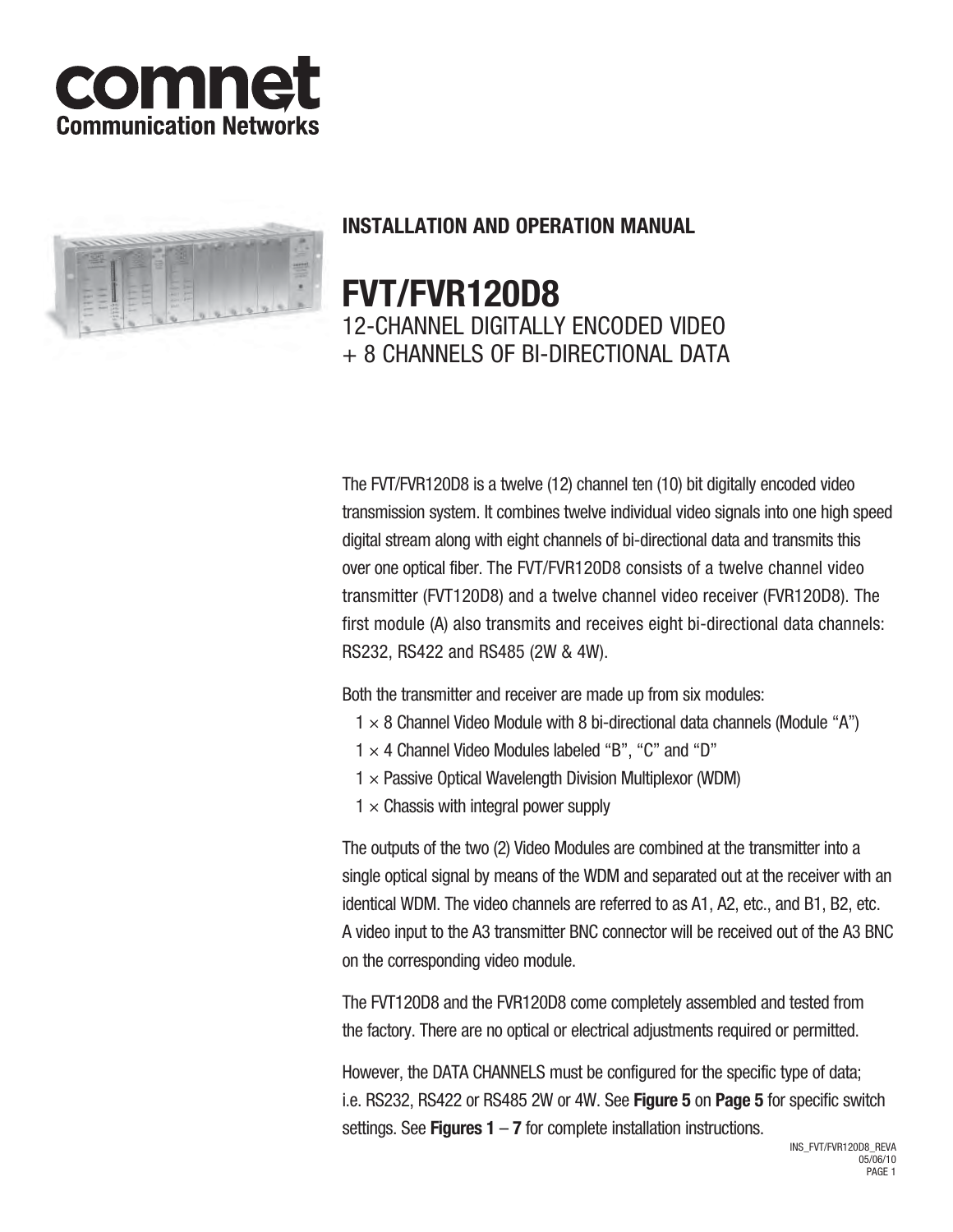



# **INSTALLATION AND OPERATION MANUAL**

# **FVT/FVR120D8** 12-CHANNEL DIGITALLY ENCODED VIDEO + 8 CHANNELS OF BI-DIRECTIONAL DATA

The FVT/FVR120D8 is a twelve (12) channel ten (10) bit digitally encoded video transmission system. It combines twelve individual video signals into one high speed digital stream along with eight channels of bi-directional data and transmits this over one optical fiber. The FVT/FVR120D8 consists of a twelve channel video transmitter (FVT120D8) and a twelve channel video receiver (FVR120D8). The first module (A) also transmits and receives eight bi-directional data channels: RS232, RS422 and RS485 (2W & 4W).

Both the transmitter and receiver are made up from six modules:

- $1 \times 8$  Channel Video Module with 8 bi-directional data channels (Module "A")
- $1 \times 4$  Channel Video Modules labeled "B", "C" and "D"
- $1 \times$  Passive Optical Wavelength Division Multiplexor (WDM)
- $1 \times$  Chassis with integral power supply

The outputs of the two (2) Video Modules are combined at the transmitter into a single optical signal by means of the WDM and separated out at the receiver with an identical WDM. The video channels are referred to as A1, A2, etc., and B1, B2, etc. A video input to the A3 transmitter BNC connector will be received out of the A3 BNC on the corresponding video module.

The FVT120D8 and the FVR120D8 come completely assembled and tested from the factory. There are no optical or electrical adjustments required or permitted.

However, the DATA CHANNELS must be configured for the specific type of data; i.e. RS232, RS422 or RS485 2W or 4W. See **Figure 5** on **Page 5** for specific switch settings. See **Figures 1** – **7** for complete installation instructions.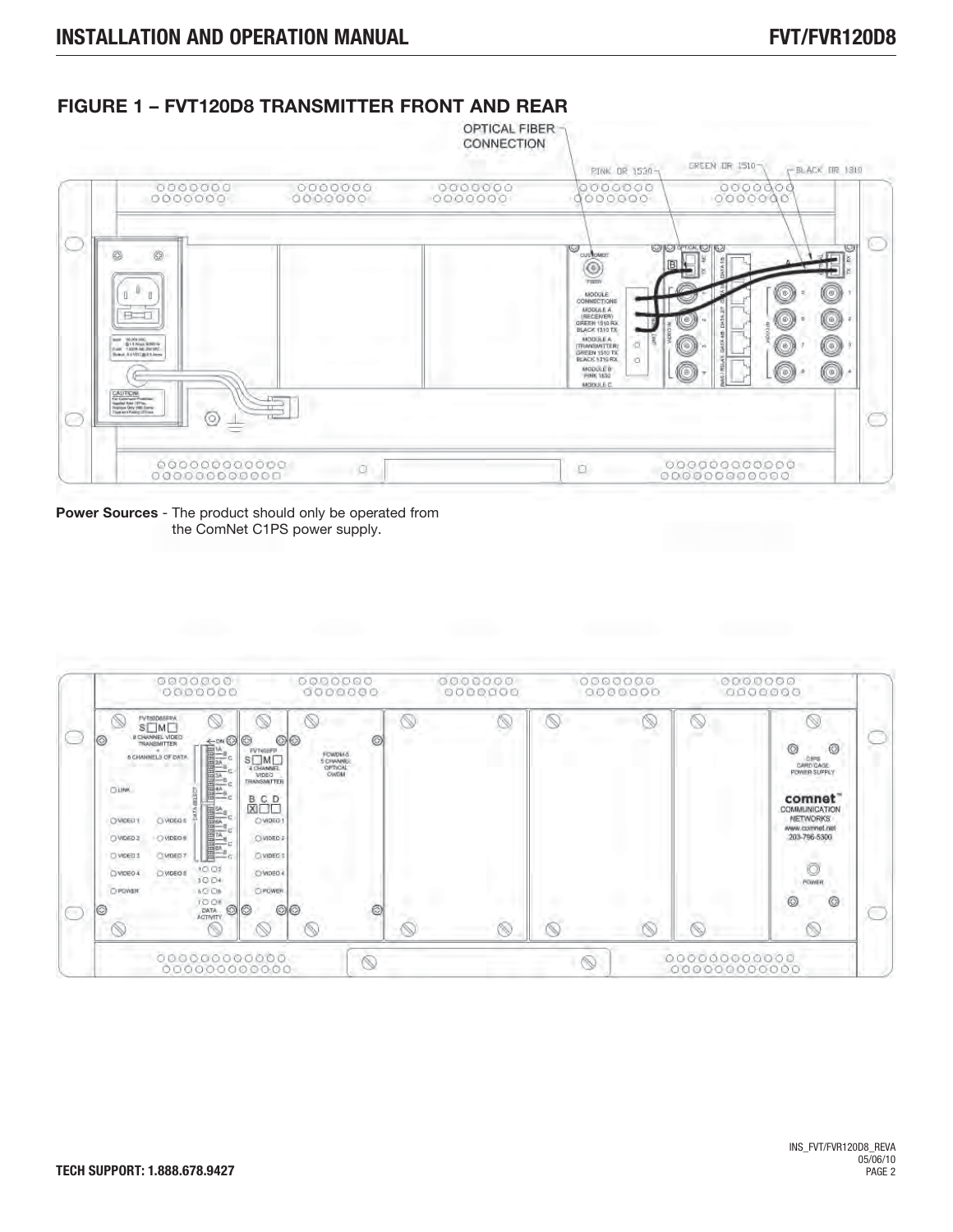

## **FIGURE 1 – FVT120D8 TRANSMITTER FRONT AND REAR**

**Power Sources** - The product should only be operated from the ComNet C1PS power supply.

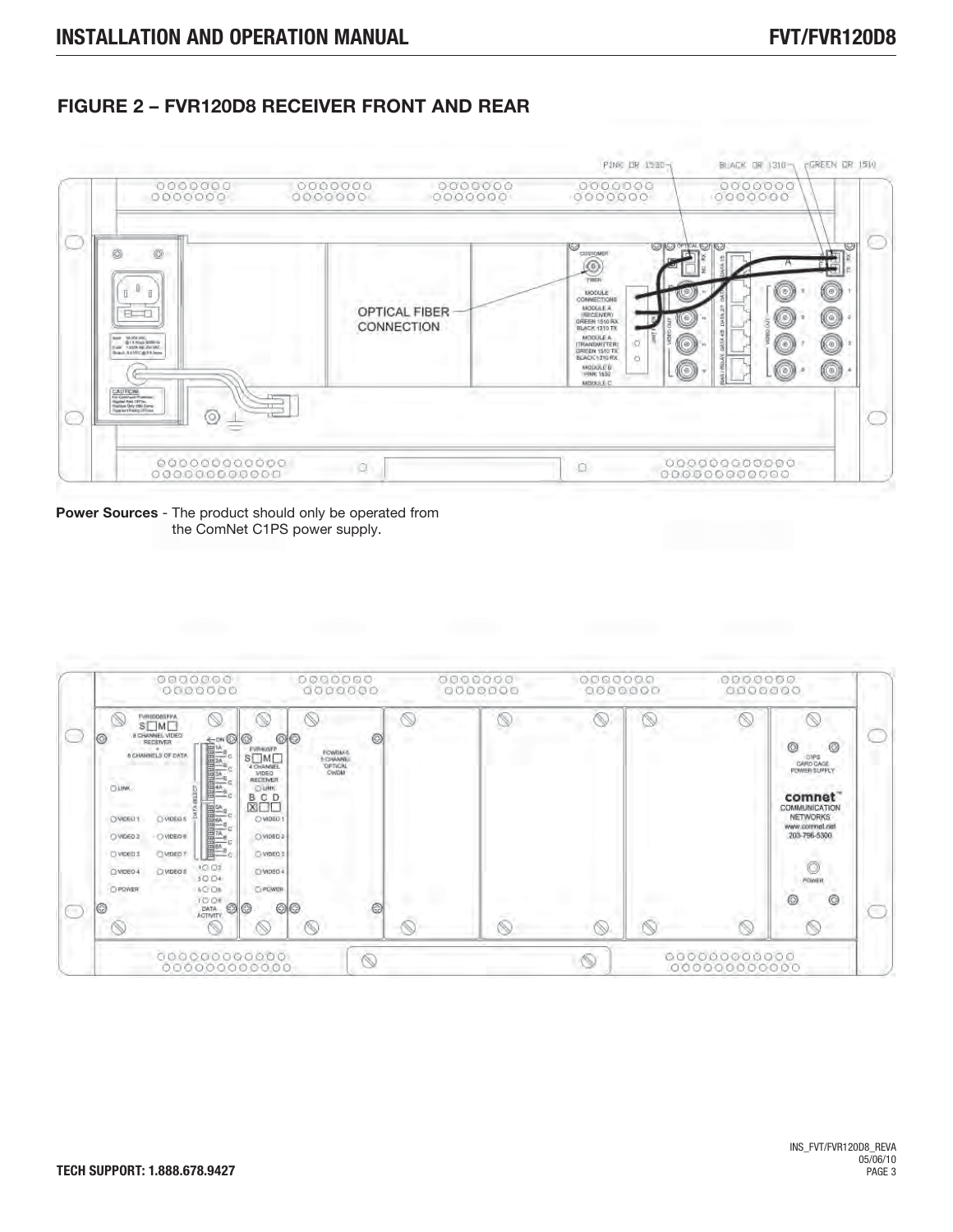### **FIGURE 2 – FVR120D8 RECEIVER FRONT AND REAR**



**Power Sources** - The product should only be operated from the ComNet C1PS power supply.

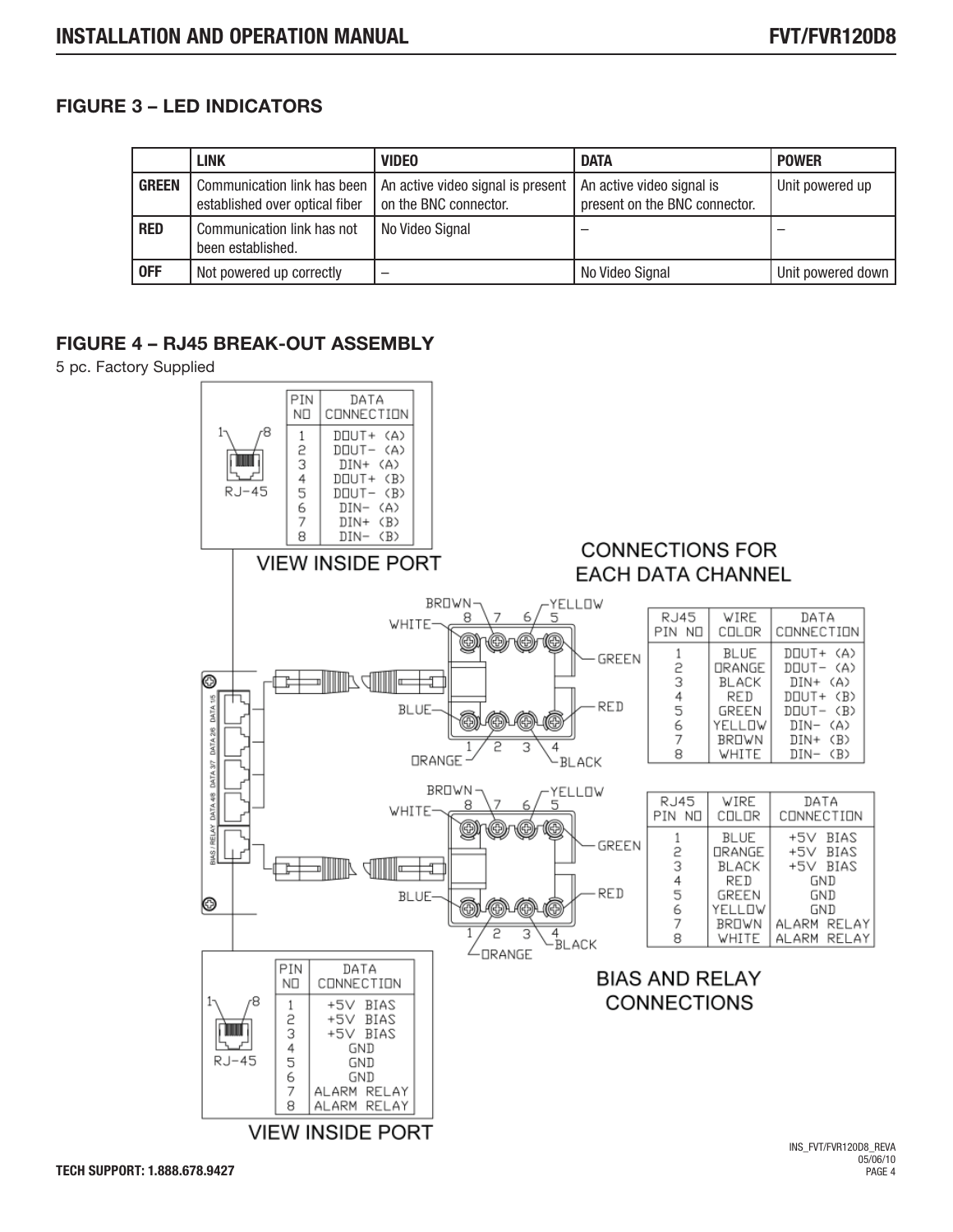### **FIGURE 3 – LED INDICATORS**

|              | <b>LINK</b>                                                     | <b>VIDEO</b>                                                                           | <b>DATA</b>                   | <b>POWER</b>      |
|--------------|-----------------------------------------------------------------|----------------------------------------------------------------------------------------|-------------------------------|-------------------|
| <b>GREEN</b> | Communication link has been  <br>established over optical fiber | An active video signal is present   An active video signal is<br>on the BNC connector. | present on the BNC connector. | Unit powered up   |
| <b>RED</b>   | Communication link has not<br>been established.                 | No Video Signal                                                                        |                               |                   |
| <b>OFF</b>   | Not powered up correctly                                        | -                                                                                      | No Video Signal               | Unit powered down |

### **FIGURE 4 – RJ45 BREAK-OUT ASSEMBLY**

5 pc. Factory Supplied

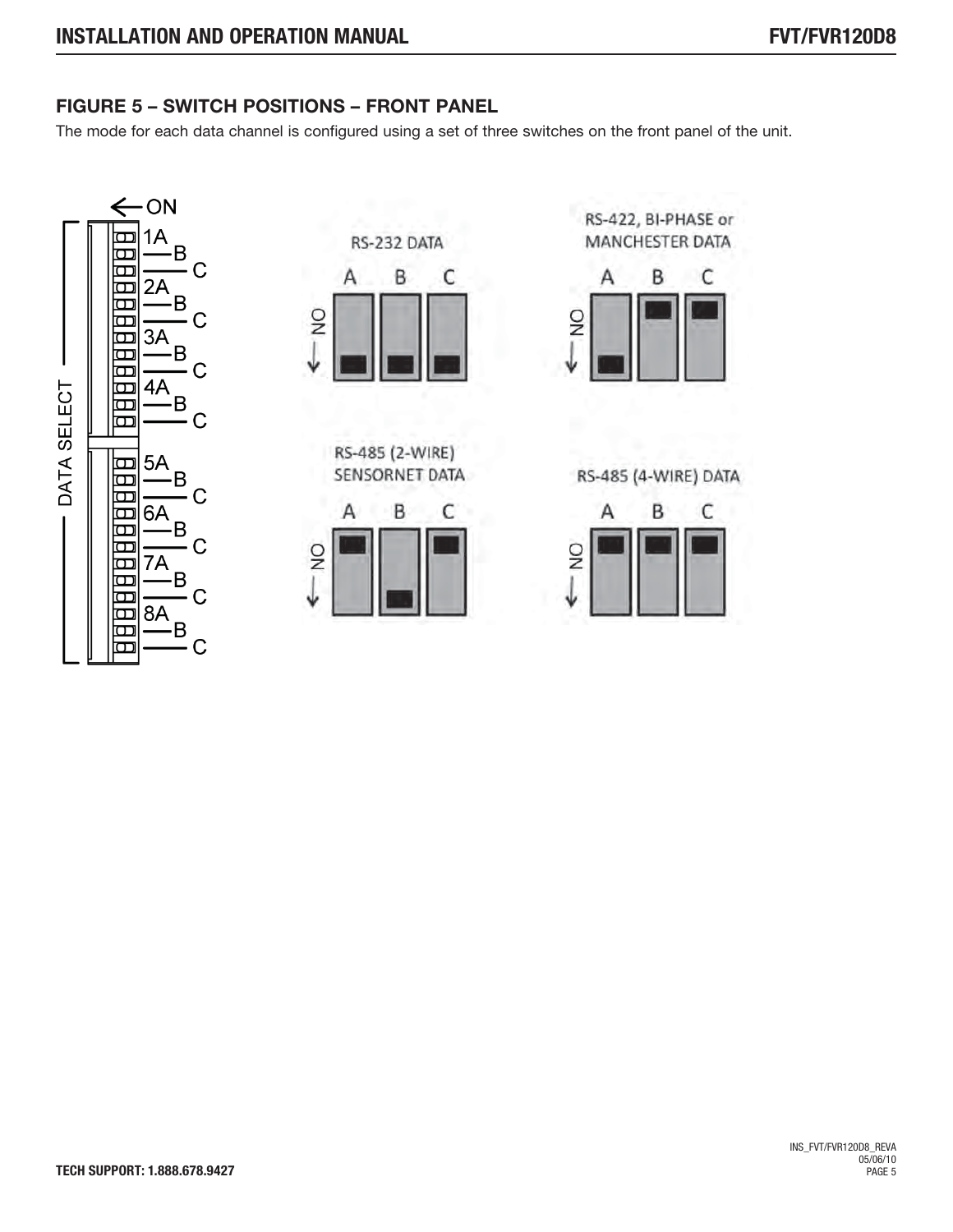# **FIGURE 5 – SWITCH POSITIONS – FRONT PANEL**

The mode for each data channel is configured using a set of three switches on the front panel of the unit.







RS-422, BI-PHASE or MANCHESTER DATA



RS-485 (4-WIRE) DATA

| ž |  |  |
|---|--|--|
|   |  |  |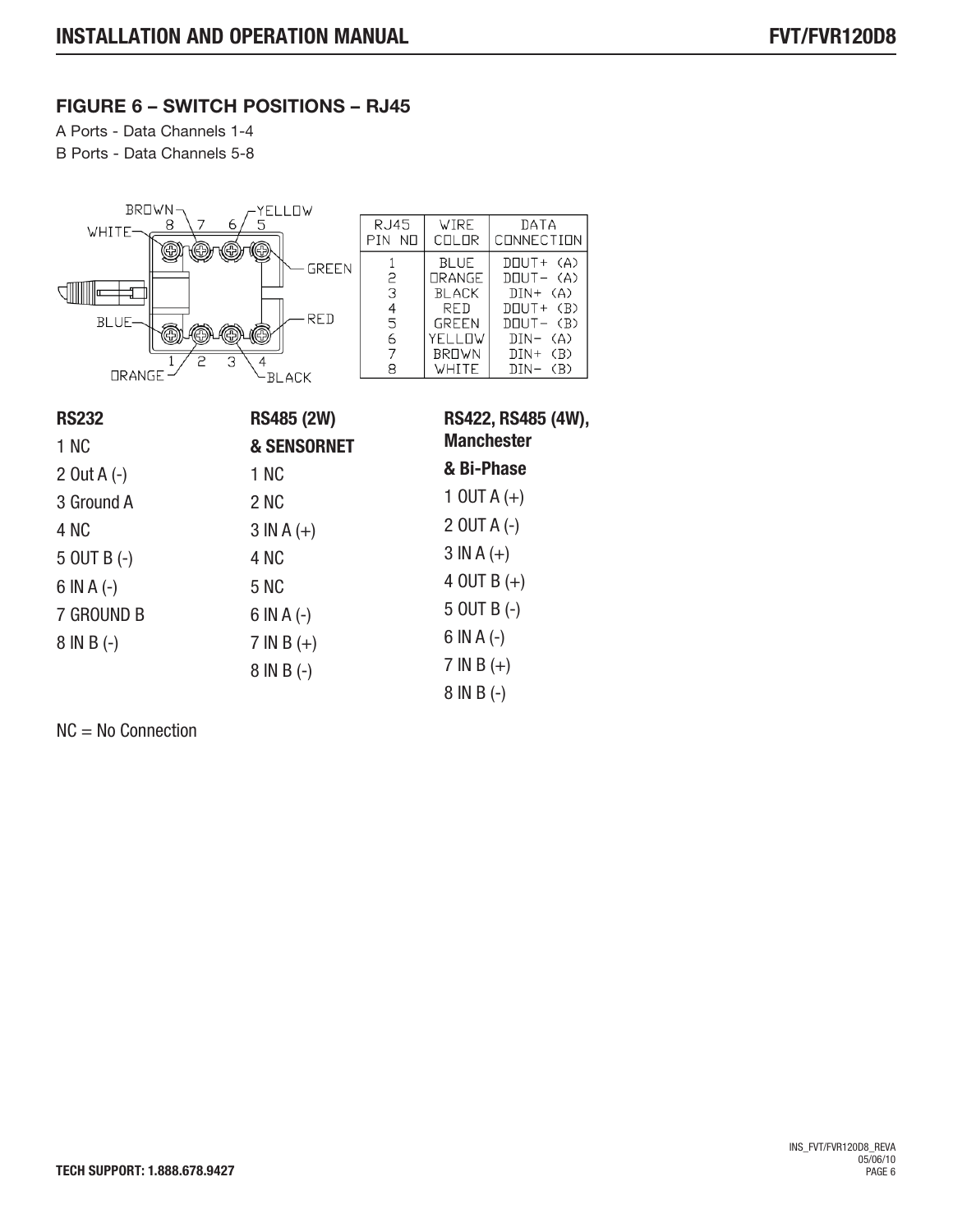### **FIGURE 6 – SWITCH POSITIONS – RJ45**

A Ports - Data Channels 1-4

B Ports - Data Channels 5-8



| <b>RS232</b>    | <b>RS485 (2W)</b>      | RS422, RS485 (4W), |  |
|-----------------|------------------------|--------------------|--|
| 1 NC            | <b>&amp; SENSORNET</b> | <b>Manchester</b>  |  |
| 2 Out A $(-)$   | 1 NC                   | & Bi-Phase         |  |
| 3 Ground A      | 2 NC                   | 1 OUT A $(+)$      |  |
| 4 NC            | $3 INA (+)$            | $2$ OUT A $(-)$    |  |
| $5$ OUT B $(-)$ | 4 NC                   | $3 INA (+)$        |  |
| $6$ IN A $(-)$  | 5 NC                   | 4 OUT B $(+)$      |  |
| 7 GROUND B      | $6$ IN A $(-)$         | $5$ OUT B $(-)$    |  |
| $8 IN B (-)$    | $7 IN B (+)$           | $6$ IN A $(-)$     |  |
|                 | $8 IN B (-)$           | $7 IN B (+)$       |  |
|                 |                        | $8 IN B (-)$       |  |

NC = No Connection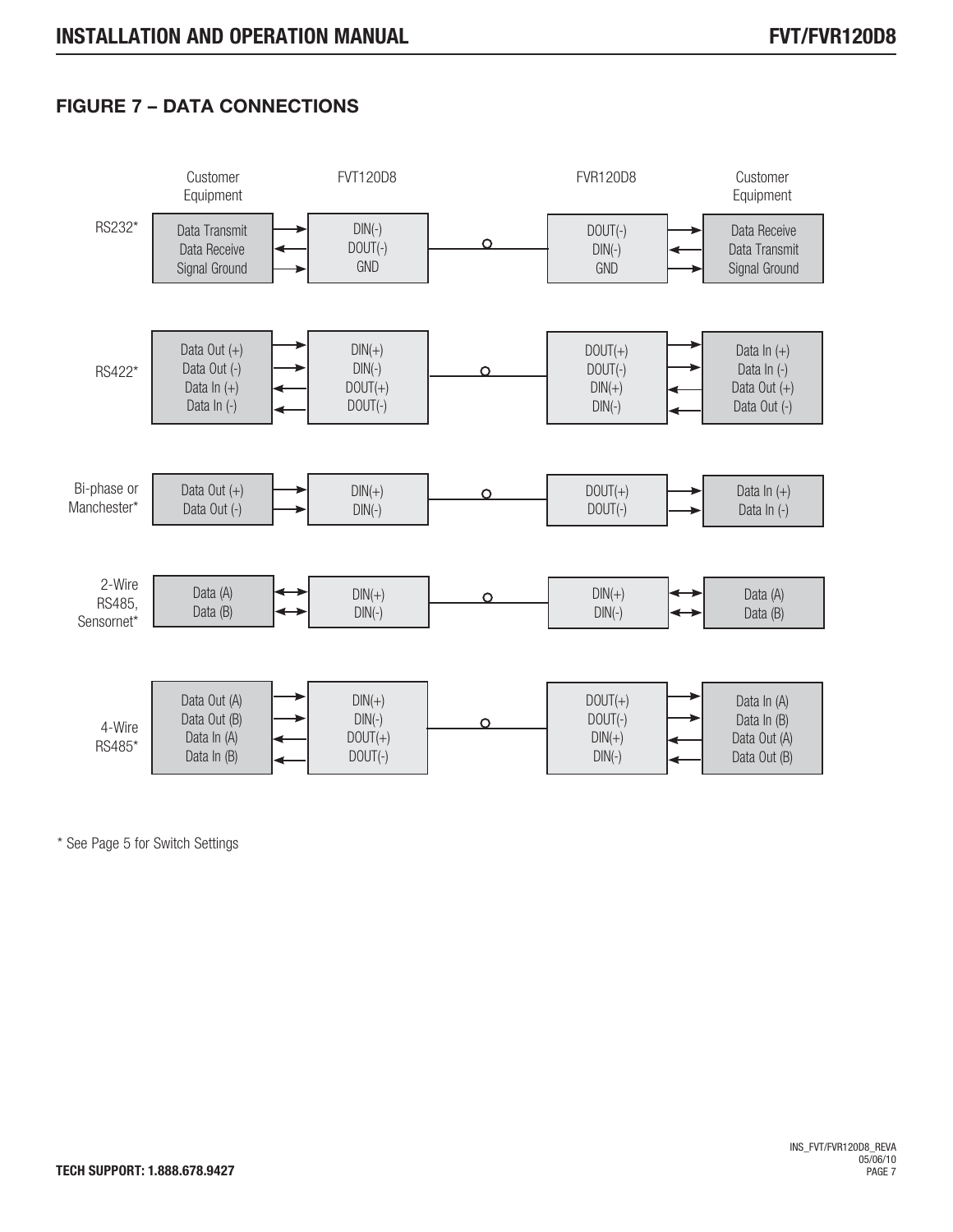# **FIGURE 7 – DATA CONNECTIONS**



\* See Page 5 for Switch Settings